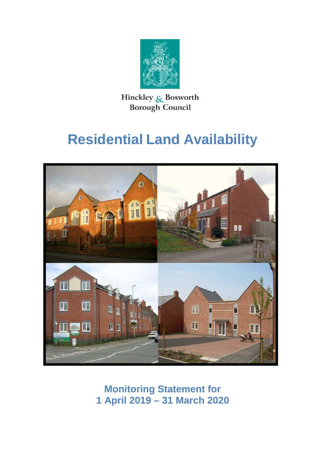

Hinckley & Bosworth **Borough Council** 

# **Residential Land Availability**



 **Monitoring Statement for 1 April 2019 – 31 March 2020**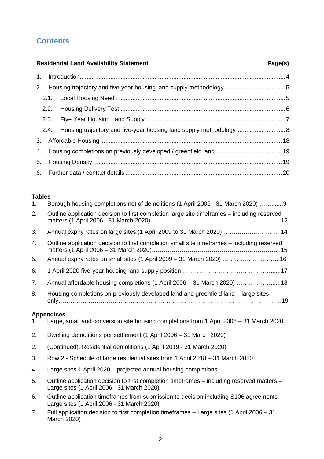# **Contents**

#### **Residential Land Availability Statement Page(s) Page(s)**  1. Introduction.........................................................................................................................4  $2<sup>1</sup>$  $2.1.$  $2.2.$  $2.3.$  $2.4.$  3. Affordable Housing ...........................................................................................................18  $\overline{4}$ . 5. 6. 2. Housing trajectory and five-year housing land supply methodology....................................5 2.1. Local Housing Need ....................................................................................................5 2.2. Housing Delivery Test .................................................................................................6 2.3. Five Year Housing Land Supply ..................................................................................7 2.4. Housing trajectory and five-year housing land supply methodology.............................8 4. Housing completions on previously developed / greenfield land .......................................19 5. Housing Density ...............................................................................................................19 6. Further data / contact details ............................................................................................20

## **Tables**

| 1. | Borough housing completions net of demolitions (1 April 2006 - 31 March 2020)9                                                           |
|----|------------------------------------------------------------------------------------------------------------------------------------------|
| 2. | Outline application decision to first completion large site timeframes - including reserved                                              |
| 3. | Annual expiry rates on large sites (1 April 2009 to 31 March 2020)14                                                                     |
| 4. | Outline application decision to first completion small site timeframes – including reserved                                              |
| 5. | Annual expiry rates on small sites (1 April 2009 - 31 March 2020)16                                                                      |
| 6. |                                                                                                                                          |
| 7. | Annual affordable housing completions (1 April 2006 - 31 March 2020)18                                                                   |
| 8. | Housing completions on previously developed land and greenfield land - large sites                                                       |
|    | <b>Appendices</b>                                                                                                                        |
| 1. | Large, small and conversion site housing completions from 1 April 2006 - 31 March 2020                                                   |
| 2. | Dwelling demolitions per settlement (1 April 2006 – 31 March 2020)                                                                       |
| 2. | (Continued). Residential demolitions (1 April 2019 - 31 March 2020)                                                                      |
| 3. | Row 2 - Schedule of large residential sites from 1 April 2018 - 31 March 2020                                                            |
| 4. | Large sites 1 April 2020 – projected annual housing completions                                                                          |
| 5. | Outline application decision to first completion timeframes – including reserved matters –<br>Large sites (1 April 2006 - 31 March 2020) |
| 6. | Outline application timeframes from submission to decision including S106 agreements -<br>Large sites (1 April 2006 - 31 March 2020)     |
| 7. | Full application decision to first completion timeframes – Large sites (1 April 2006 – 31                                                |

 March 2020) 7. Full application decision to first completion timeframes – Large sites (1 April 2006 – 31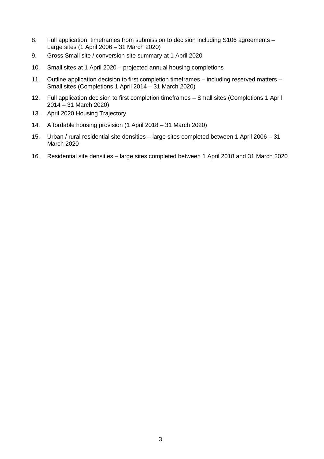- 8 Large sites (1 April 2006 – 31 March 2020) . Full application timeframes from submission to decision including S106 agreements –
- 9. . Gross Small site / conversion site summary at 1 April 2020
- . Small sites at 1 April 2020 projected annual housing completions 10
- 11 Small sites (Completions 1 April 2014 – 31 March 2020) . Outline application decision to first completion timeframes – including reserved matters –
- 12 2014 – 31 March 2020) . Full application decision to first completion timeframes – Small sites (Completions 1 April
- 13 . April 2020 Housing Trajectory
- . Affordable housing provision (1 April 2018 31 March 2020) 14
- 15 March 2020 . Urban / rural residential site densities – large sites completed between 1 April 2006 – 31
- . Residential site densities large sites completed between 1 April 2018 and 31 March 2020 16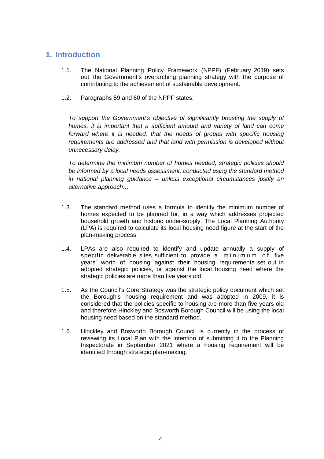## **1. Introduction**

- $1.1$  out the Government's overarching planning strategy with the purpose of contributing to the achievement of sustainable development. The National Planning Policy Framework (NPPF) (February 2019) sets
- 1.2. Paragraphs 59 and 60 of the NPPF states:

 To support the Government's objective of significantly boosting the supply of homes, it is important that a sufficient amount and variety of land can come forward where it is needed, that the needs of groups with specific housing requirements are addressed and that land with permission is developed without unnecessary delay.

 To determine the minimum number of homes needed, strategic policies should be informed by a local needs assessment, conducted using the standard method in national planning guidance – unless exceptional circumstances justify an alternative approach…

- $1.3.$  homes expected to be planned for, in a way which addresses projected household growth and historic under-supply. The Local Planning Authority (LPA) is required to calculate its local housing need figure at the start of the plan-making process. The standard method uses a formula to identify the minimum number of
- $14$ specific deliverable sites sufficient to provide a minimum of five years' worth of housing against their housing requirements set out in adopted strategic policies, or against the local housing need where the strategic policies are more than five years old. LPAs are also required to identify and update annually a supply of
- $1.5.$  the Borough's housing requirement and was adopted in 2009, it is considered that the policies specific to housing are more than five years old and therefore Hinckley and Bosworth Borough Council will be using the local housing need based on the standard method. As the Council's Core Strategy was the strategic policy document which set
- 1.6. Hinckley and Bosworth Borough Council is currently in the process of reviewing its Local Plan with the intention of submitting it to the Planning Inspectorate in September 2021 where a housing requirement will be identified through strategic plan-making.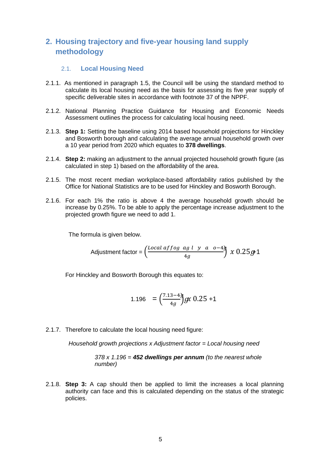# **2. Housing trajectory and five-year housing land supply methodology**

### 2.1. **Local Housing Need**

- 2.1.1. As mentioned in paragraph 1.5, the Council will be using the standard method to calculate its local housing need as the basis for assessing its five year supply of specific deliverable sites in accordance with footnote 37 of the NPPF.
- 2.1.2. National Planning Practice Guidance for Housing and Economic Needs Assessment outlines the process for calculating local housing need.
- 2.1.3. **Step 1:** Setting the baseline using 2014 based household projections for Hinckley and Bosworth borough and calculating the average annual household growth over a 10 year period from 2020 which equates to **378 dwellings**.
- 2.1.4. **Step 2:** making an adjustment to the annual projected household growth figure (as calculated in step 1) based on the affordability of the area.
- 2.1.5. The most recent median workplace-based affordability ratios published by the Office for National Statistics are to be used for Hinckley and Bosworth Borough.
- 2.1.6. For each 1% the ratio is above 4 the average household growth should be increase by 0.25%. To be able to apply the percentage increase adjustment to the projected growth figure we need to add 1.

The formula is given below.

Adjustment factor =

\n
$$
\left(\frac{Local\,\,affog\,\,ag\,\,l\quad y\quad a\quad o-4g}{4g}\right)\,x\,0.25g-1
$$

For Hinckley and Bosworth Borough this equates to:

1.196 = 
$$
\left(\frac{7.13-4}{4g}\right)gx
$$
 0.25 +1

2.1.7. Therefore to calculate the local housing need figure:

Household growth projections x Adjustment factor = Local housing need

 378 x 1.196 = **452 dwellings per annum** (to the nearest whole number)

 2.1.8. **Step 3:** A cap should then be applied to limit the increases a local planning authority can face and this is calculated depending on the status of the strategic policies.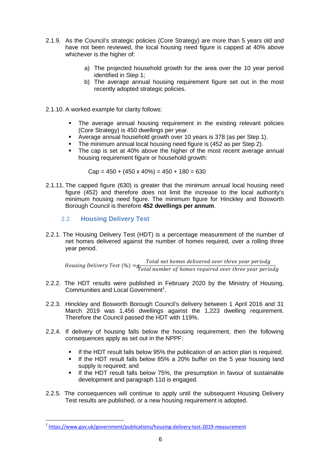- 2.1.9. As the Council's strategic policies (Core Strategy) are more than 5 years old and have not been reviewed, the local housing need figure is capped at 40% above whichever is the higher of:
	- a) The projected household growth for the area over the 10 year period identified in Step 1;
	- b) The average annual housing requirement figure set out in the most recently adopted strategic policies.
- 2.1.10. A worked example for clarity follows:
	- • The average annual housing requirement in the existing relevant policies (Core Strategy) is 450 dwellings per year.
	- Average annual household growth over 10 years is 378 (as per Step 1).
	- The minimum annual local housing need figure is (452 as per Step 2).
	- The cap is set at 40% above the higher of the most recent average annual housing requirement figure or household growth:

Cap = 450 + (450 x 40%) = 450 + 180 = 630

- 2.1.11. The capped figure (630) is greater that the minimum annual local housing need figure (452) and therefore does not limit the increase to the local authority's minimum housing need figure. The minimum figure for Hinckley and Bosworth Borough Council is therefore **452 dwellings per annum**.
	- 2.2. **Housing Delivery Test**

 $\overline{a}$ 

 2.2.1. The Housing Delivery Test (HDT) is a percentage measurement of the number of net homes delivered against the number of homes required, over a rolling three year period.

Housing Delivery Test (%) =g Total net homes delivered over three year periodg<br>Total number of homes required over three year periodg

- 2.2.2. The HDT results were published in February 2020 by the Ministry of Housing, Communities and Local Government<sup>1</sup>.
- 2.2.3. Hinckley and Bosworth Borough Council's delivery between 1 April 2016 and 31 March 2019 was 1,456 dwellings against the 1,223 dwelling requirement. Therefore the Council passed the HDT with 119%.
- 2.2.4. If delivery of housing falls below the housing requirement, then the following consequences apply as set out in the NPPF:
	- If the HDT result falls below 95% the publication of an action plan is required;
	- • If the HDT result falls below 85% a 20% buffer on the 5 year housing land supply is required; and
	- • If the HDT result falls below 75%, the presumption in favour of sustainable development and paragraph 11d is engaged.
- 2.2.5. The consequences will continue to apply until the subsequent Housing Delivery Test results are published, or a new housing requirement is adopted.

https://www.gov.uk/government/publications/housing-delivery-test-2019-measurement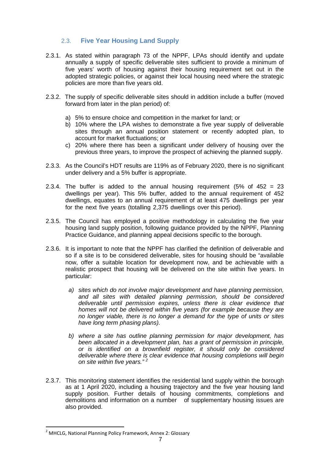## 2.3. **Five Year Housing Land Supply**

- 2.3.1. As stated within paragraph 73 of the NPPF, LPAs should identify and update annually a supply of specific deliverable sites sufficient to provide a minimum of five years' worth of housing against their housing requirement set out in the adopted strategic policies, or against their local housing need where the strategic policies are more than five years old.
- 2.3.2. The supply of specific deliverable sites should in addition include a buffer (moved forward from later in the plan period) of:
	- a) 5% to ensure choice and competition in the market for land; or
	- b) 10% where the LPA wishes to demonstrate a five year supply of deliverable sites through an annual position statement or recently adopted plan, to account for market fluctuations; or
	- c) 20% where there has been a significant under delivery of housing over the previous three years, to improve the prospect of achieving the planned supply.
- 2.3.3. As the Council's HDT results are 119% as of February 2020, there is no significant under delivery and a 5% buffer is appropriate.
- 2.3.4. The buffer is added to the annual housing requirement (5% of 452 = 23 dwellings per year). This 5% buffer, added to the annual requirement of 452 dwellings, equates to an annual requirement of at least 475 dwellings per year for the next five years (totalling 2,375 dwellings over this period).
- 2.3.5. The Council has employed a positive methodology in calculating the five year housing land supply position, following guidance provided by the NPPF, Planning Practice Guidance, and planning appeal decisions specific to the borough.
- 2.3.6. It is important to note that the NPPF has clarified the definition of deliverable and so if a site is to be considered deliverable, sites for housing should be "available now, offer a suitable location for development now, and be achievable with a realistic prospect that housing will be delivered on the site within five years. In particular:
	- a) sites which do not involve major development and have planning permission, and all sites with detailed planning permission, should be considered deliverable until permission expires, unless there is clear evidence that homes will not be delivered within five years (for example because they are no longer viable, there is no longer a demand for the type of units or sites have long term phasing plans).
	- b) where a site has outline planning permission for major development, has been allocated in a development plan, has a grant of permission in principle, or is identified on a brownfield register, it should only be considered deliverable where there is clear evidence that housing completions will begin on site within five years." $2$
- 2.3.7. This monitoring statement identifies the residential land supply within the borough as at 1 April 2020, including a housing trajectory and the five year housing land supply position. Further details of housing commitments, completions and demolitions and information on a number of supplementary housing issues are also provided.

 $\overline{\phantom{0}}$ 

 $2$  MHCLG, National Planning Policy Framework, Annex 2: Glossary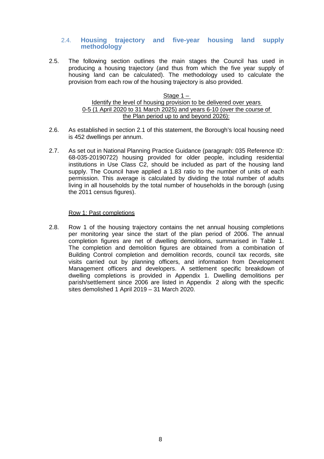#### 2.4. **Housing trajectory and five-year housing land supply methodology**

 $2.5.$  producing a housing trajectory (and thus from which the five year supply of housing land can be calculated). The methodology used to calculate the provision from each row of the housing trajectory is also provided. The following section outlines the main stages the Council has used in

#### Stage 1 – Identify the level of housing provision to be delivered over years 0-5 (1 April 2020 to 31 March 2025) and years 6-10 (over the course of the Plan period up to and beyond 2026):

- $2.6.$  is 452 dwellings per annum. 2.6. As established in section 2.1 of this statement, the Borough's local housing need
- $2.7.$  68-035-20190722) housing provided for older people, including residential institutions in Use Class C2, should be included as part of the housing land supply. The Council have applied a 1.83 ratio to the number of units of each permission. This average is calculated by dividing the total number of adults living in all households by the total number of households in the borough (using the 2011 census figures). As set out in National Planning Practice Guidance (paragraph: 035 Reference ID:

#### Row 1: Past completions

 $2.8.$  per monitoring year since the start of the plan period of 2006. The annual completion figures are net of dwelling demolitions, summarised in Table 1. The completion and demolition figures are obtained from a combination of Building Control completion and demolition records, council tax records, site visits carried out by planning officers, and information from Development Management officers and developers. A settlement specific breakdown of dwelling completions is provided in Appendix 1. Dwelling demolitions per parish/settlement since 2006 are listed in Appendix 2 along with the specific sites demolished 1 April 2019 – 31 March 2020. 2.8. Row 1 of the housing trajectory contains the net annual housing completions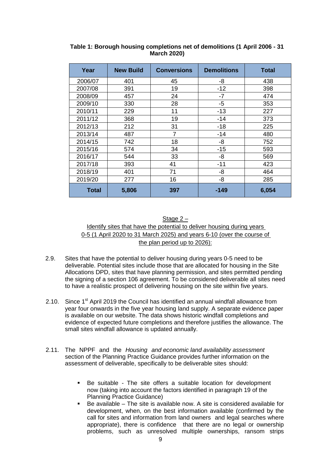| Year    | <b>New Build</b> | <b>Conversions</b> | <b>Demolitions</b> | Total |
|---------|------------------|--------------------|--------------------|-------|
| 2006/07 | 401              | 45                 | -8                 | 438   |
| 2007/08 | 391              | 19                 | $-12$              | 398   |
| 2008/09 | 457              | 24                 | -7                 | 474   |
| 2009/10 | 330              | 28                 | $-5$               | 353   |
| 2010/11 | 229              | 11                 | $-13$              | 227   |
| 2011/12 | 368              | 19                 | $-14$              | 373   |
| 2012/13 | 212              | 31                 | $-18$              | 225   |
| 2013/14 | 487              | 7                  | $-14$              | 480   |
| 2014/15 | 742              | 18                 | -8                 | 752   |
| 2015/16 | 574              | 34                 | $-15$              | 593   |
| 2016/17 | 544              | 33                 | -8                 | 569   |
| 2017/18 | 393              | 41                 | $-11$              | 423   |
| 2018/19 | 401              | 71                 | -8                 | 464   |
| 2019/20 | 277              | 16                 | -8                 | 285   |
| Total   | 5,806            | 397                | -149               | 6,054 |

 **Table 1: Borough housing completions net of demolitions (1 April 2006 - 31 March 2020)** 

Stage 2 – Identify sites that have the potential to deliver housing during years 0-5 (1 April 2020 to 31 March 2025) and years 6-10 (over the course of the plan period up to 2026):

- $2.9.$  deliverable. Potential sites include those that are allocated for housing in the Site Allocations DPD, sites that have planning permission, and sites permitted pending the signing of a section 106 agreement. To be considered deliverable all sites need to have a realistic prospect of delivering housing on the site within five years. Sites that have the potential to deliver housing during years 0-5 need to be
- 2.10. Since  $1<sup>st</sup>$  April 2019 the Council has identified an annual windfall allowance from year four onwards in the five year housing land supply. A separate evidence paper is available on our website. The data shows historic windfall completions and evidence of expected future completions and therefore justifies the allowance. The small sites windfall allowance is updated annually.
- 2.11. The NPPF and the Housing and economic land availability assessment section of the Planning Practice Guidance provides further information on the assessment of deliverable, specifically to be deliverable sites should:
	- $\blacksquare$  now (taking into account the factors identified in paragraph 19 of the Planning Practice Guidance) • Be suitable - The site offers a suitable location for development
	- development, when, on the best information available (confirmed by the call for sites and information from land owners and legal searches where • Be available – The site is available now. A site is considered available for appropriate), there is confidence that there are no legal or ownership problems, such as unresolved multiple ownerships, ransom strips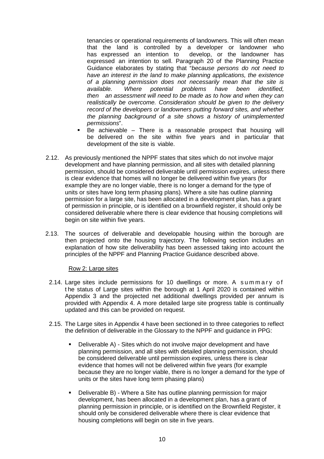tenancies or operational requirements of landowners. This will often mean that the land is controlled by a developer or landowner who has expressed an intention to expressed an intention to sell. Paragraph 20 of the Planning Practice Guidance elaborates by stating that "because persons do not need to have an interest in the land to make planning applications, the existence of a planning permission does not necessarily mean that the site is available. then an assessment will need to be made as to how and when they can realistically be overcome. Consideration should be given to the delivery record of the developers or landowners putting forward sites, and whether the planning background of a site shows a history of unimplemented develop, or the landowner has Where potential problems have been identified, permissions".

- be delivered on the site within five years and in particular that development of the site is viable. • Be achievable – There is a reasonable prospect that housing will
- 2.12. As previously mentioned the NPPF states that sites which do not involve major development and have planning permission, and all sites with detailed planning permission, should be considered deliverable until permission expires, unless there is clear evidence that homes will no longer be delivered within five years (for example they are no longer viable, there is no longer a demand for the type of units or sites have long term phasing plans). Where a site has outline planning permission for a large site, has been allocated in a development plan, has a grant of permission in principle, or is identified on a brownfield register, it should only be considered deliverable where there is clear evidence that housing completions will begin on site within five years.
- $2.13.$  then projected onto the housing trajectory. The following section includes an explanation of how site deliverability has been assessed taking into account the principles of the NPPF and Planning Practice Guidance described above. The sources of deliverable and developable housing within the borough are

#### Row 2: Large sites

- 2.14. Large sites include permissions for 10 dwellings or more. A summary of t he status of Large sites within the borough at 1 April 2020 is contained within Appendix 3 and the projected net additional dwellings provided per annum is provided with Appendix 4. A more detailed large site progress table is continually updated and this can be provided on request.
- 2.15. The Large sites in Appendix 4 have been sectioned in to three categories to reflect the definition of deliverable in the Glossary to the NPPF and guidance in PPG:
	- • Deliverable A) Sites which do not involve major development and have planning permission, and all sites with detailed planning permission, should be considered deliverable until permission expires, unless there is clear evidence that homes will not be delivered within five years (for example because they are no longer viable, there is no longer a demand for the type of units or the sites have long term phasing plans)
	- • Deliverable B) Where a Site has outline planning permission for major development, has been allocated in a development plan, has a grant of planning permission in principle, or is identified on the Brownfield Register, it should only be considered deliverable where there is clear evidence that housing completions will begin on site in five years.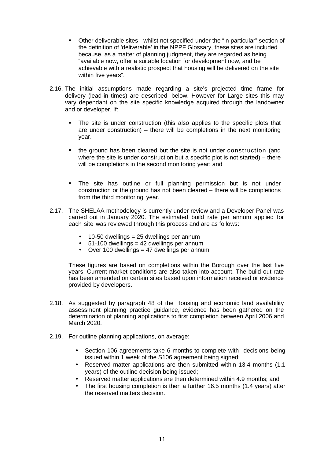- $\blacksquare$  the definition of 'deliverable' in the NPPF Glossary, these sites are included because, as a matter of planning judgment, they are regarded as being "available now, offer a suitable location for development now, and be achievable with a realistic prospect that housing will be delivered on the site within five years". • Other deliverable sites - whilst not specified under the "in particular" section of
- 2.16. The initial assumptions made regarding a site's projected time frame for delivery (lead-in times) are described below. However for Large sites this may vary dependant on the site specific knowledge acquired through the landowner and or developer. If:
	- $\blacksquare$  are under construction) – there will be completions in the next monitoring The site is under construction (this also applies to the specific plots that year.
	- • the ground has been cleared but the site is not under construction (and where the site is under construction but a specific plot is not started) – there will be completions in the second monitoring year; and
	- • The site has outline or full planning permission but is not under construction or the ground has not been cleared – there will be completions from the third monitoring year.
- 2.17. The SHELAA methodology is currently under review and a Developer Panel was carried out in January 2020. The estimated build rate per annum applied for each site was reviewed through this process and are as follows:
	- 10-50 dwellings = 25 dwellings per annum
	- $\bullet$  51-100 dwellings = 42 dwellings per annum
	- Over 100 dwellings = 47 dwellings per annum

 These figures are based on completions within the Borough over the last five years. Current market conditions are also taken into account. The build out rate has been amended on certain sites based upon information received or evidence provided by developers.

- 2.18. As suggested by paragraph 48 of the Housing and economic land availability assessment planning practice guidance, evidence has been gathered on the determination of planning applications to first completion between April 2006 and March 2020.
- 2.19. For outline planning applications, on average:
	- $\bullet$  issued within 1 week of the S106 agreement being signed; • Section 106 agreements take 6 months to complete with decisions being
	- • Reserved matter applications are then submitted within 13.4 months (1.1 years) of the outline decision being issued;
	- Reserved matter applications are then determined within 4.9 months; and
	- the reserved matters decision. The first housing completion is then a further 16.5 months (1.4 years) after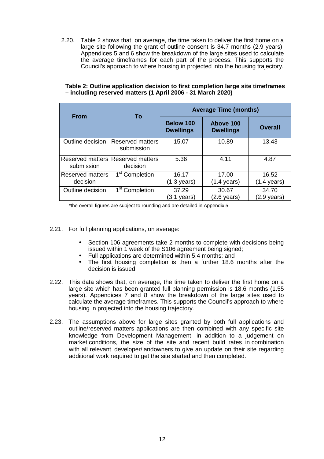2.20. Table 2 shows that, on average, the time taken to deliver the first home on a large site following the grant of outline consent is 34.7 months (2.9 years). Appendices 5 and 6 show the breakdown of the large sites used to calculate the average timeframes for each part of the process. This supports the Council's approach to where housing in projected into the housing trajectory.

| <b>From</b>                    | To                                  | <b>Average Time (months)</b>         |                                |                                |  |
|--------------------------------|-------------------------------------|--------------------------------------|--------------------------------|--------------------------------|--|
|                                |                                     | <b>Below 100</b><br><b>Dwellings</b> | Above 100<br><b>Dwellings</b>  | <b>Overall</b>                 |  |
| Outline decision               | Reserved matters<br>submission      | 15.07                                | 10.89                          | 13.43                          |  |
| Reserved matters<br>submission | <b>Reserved matters</b><br>decision | 5.36                                 | 4.11                           | 4.87                           |  |
| Reserved matters<br>decision   | 1 <sup>st</sup> Completion          | 16.17<br>$(1.3 \text{ years})$       | 17.00<br>$(1.4 \text{ years})$ | 16.52<br>$(1.4 \text{ years})$ |  |
| Outline decision               | 1 <sup>st</sup> Completion          | 37.29<br>$(3.1 \text{ years})$       | 30.67<br>$(2.6 \text{ years})$ | 34.70<br>(2.9 years)           |  |

#### **Table 2: Outline application decision to first completion large site timeframes – including reserved matters (1 April 2006 - 31 March 2020)**

\*the overall figures are subject to rounding and are detailed in Appendix 5

- 2.21. For full planning applications, on average:
	- issued within 1 week of the S106 agreement being signed; • Section 106 agreements take 2 months to complete with decisions being
	- Full applications are determined within 5.4 months; and
	- decision is issued. The first housing completion is then a further 18.6 months after the
- 2.22. This data shows that, on average, the time taken to deliver the first home on a large site which has been granted full planning permission is 18.6 months (1.55 years). Appendices 7 and 8 show the breakdown of the large sites used to calculate the average timeframes. This supports the Council's approach to where housing in projected into the housing trajectory.
- 2.23. The assumptions above for large sites granted by both full applications and outline/reserved matters applications are then combined with any specific site knowledge from Development Management, in addition to a judgement on market conditions, the size of the site and recent build rates in combination with all relevant developer/landowners to give an update on their site regarding additional work required to get the site started and then completed.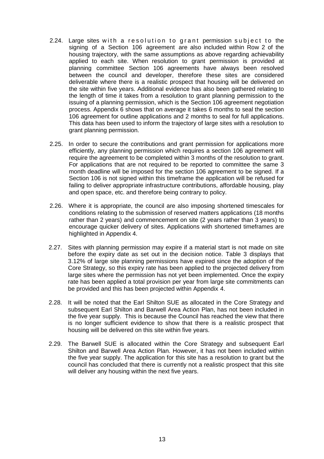- 2.24. Large sites with a resolution to grant permission subject to the signing of a Section 106 agreement are also included within Row 2 of the housing trajectory, with the same assumptions as above regarding achievability applied to each site. When resolution to grant permission is provided at planning committee Section 106 agreements have always been resolved between the council and developer, therefore these sites are considered deliverable where there is a realistic prospect that housing will be delivered on the site within five years. Additional evidence has also been gathered relating to the length of time it takes from a resolution to grant planning permission to the issuing of a planning permission, which is the Section 106 agreement negotiation process. Appendix 6 shows that on average it takes 6 months to seal the section 106 agreement for outline applications and 2 months to seal for full applications. This data has been used to inform the trajectory of large sites with a resolution to grant planning permission.
- $2.25.$  efficiently, any planning permission which requires a section 106 agreement will require the agreement to be completed within 3 months of the resolution to grant. For applications that are not required to be reported to committee the same 3 month deadline will be imposed for the section 106 agreement to be signed. If a Section 106 is not signed within this timeframe the application will be refused for failing to deliver appropriate infrastructure contributions, affordable housing, play and open space, etc. and therefore being contrary to policy. In order to secure the contributions and grant permission for applications more
- 2.26. Where it is appropriate, the council are also imposing shortened timescales for conditions relating to the submission of reserved matters applications (18 months rather than 2 years) and commencement on site (2 years rather than 3 years) to encourage quicker delivery of sites. Applications with shortened timeframes are highlighted in Appendix 4.
- 2.27. Sites with planning permission may expire if a material start is not made on site before the expiry date as set out in the decision notice. Table 3 displays that 3.12% of large site planning permissions have expired since the adoption of the Core Strategy, so this expiry rate has been applied to the projected delivery from large sites where the permission has not yet been implemented. Once the expiry rate has been applied a total provision per year from large site commitments can be provided and this has been projected within Appendix 4.
- $2.28.$  subsequent Earl Shilton and Barwell Area Action Plan, has not been included in the five year supply. This is because the Council has reached the view that there is no longer sufficient evidence to show that there is a realistic prospect that housing will be delivered on this site within five years. It will be noted that the Earl Shilton SUE as allocated in the Core Strategy and
- 2.29. The Barwell SUE is allocated within the Core Strategy and subsequent Earl Shilton and Barwell Area Action Plan. However, it has not been included within the five year supply. The application for this site has a resolution to grant but the council has concluded that there is currently not a realistic prospect that this site will deliver any housing within the next five years.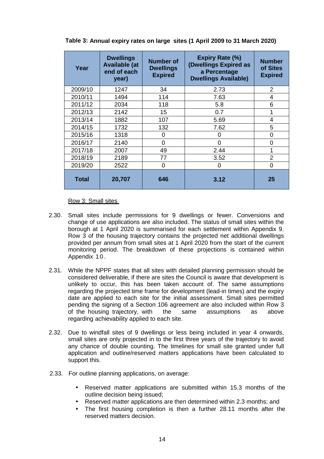| Year    | <b>Dwellings</b><br><b>Available (at</b><br>end of each<br>year) | <b>Number of</b><br><b>Dwellings</b><br><b>Expired</b> | <b>Expiry Rate (%)</b><br>(Dwellings Expired as<br>a Percentage<br><b>Dwellings Available)</b> | <b>Number</b><br>of Sites<br><b>Expired</b> |
|---------|------------------------------------------------------------------|--------------------------------------------------------|------------------------------------------------------------------------------------------------|---------------------------------------------|
| 2009/10 | 1247                                                             | 34                                                     | 2.73                                                                                           | 2                                           |
| 2010/11 | 1494                                                             | 114                                                    | 7.63                                                                                           | 4                                           |
| 2011/12 | 2034                                                             | 118                                                    | 5.8                                                                                            | 6                                           |
| 2012/13 | 2142                                                             | 15                                                     | 0.7                                                                                            |                                             |
| 2013/14 | 1882                                                             | 107                                                    | 5.69                                                                                           | 4                                           |
| 2014/15 | 1732                                                             | 132                                                    | 7.62                                                                                           | 5                                           |
| 2015/16 | 1318                                                             | 0                                                      | ი                                                                                              | 0                                           |
| 2016/17 | 2140                                                             | $\Omega$                                               | 0                                                                                              | 0                                           |
| 2017/18 | 2007                                                             | 49                                                     | 2.44                                                                                           |                                             |
| 2018/19 | 2189                                                             | 77                                                     | 3.52                                                                                           | $\overline{2}$                              |
| 2019/20 | 2522                                                             | $\Omega$                                               | 0                                                                                              | $\Omega$                                    |
| Total   | 20,707                                                           | 646                                                    | 3.12                                                                                           | 25                                          |

 **Table 3: Annual expiry rates on large sites (1 April 2009 to 31 March 2020)** 

Row 3: Small sites

- 2.30. Small sites include permissions for 9 dwellings or fewer. Conversions and change of use applications are also included. The status of small sites within the borough at 1 April 2020 is summarised for each settlement within Appendix 9. Row 3 of the housing trajectory contains the projected net additional dwellings provided per annum from small sites at 1 April 2020 from the start of the current monitoring period. The breakdown of these projections is contained within Appendix 1 0 .
- 2.31. While the NPPF states that all sites with detailed planning permission should be considered deliverable, if there are sites the Council is aware that development is unlikely to occur, this has been taken account of. The same assumptions regarding the projected time frame for development (lead-in times) and the expiry date are applied to each site for the initial assessment. Small sites permitted pending the signing of a Section 106 agreement are also included within Row 3 of the housing trajectory, with the same assumptions as above regarding achievability applied to each site.
- 2.32. Due to windfall sites of 9 dwellings or less being included in year 4 onwards, small sites are only projected in to the first three years of the trajectory to avoid any chance of double counting. The timelines for small site granted under full application and outline/reserved matters applications have been calculated to support this.
- 2.33. For outline planning applications, on average:
	- • Reserved matter applications are submitted within 15.3 months of the outline decision being issued;
	- Reserved matter applications are then determined within 2.3 months; and
	- reserved matters decision. The first housing completion is then a further 28.11 months after the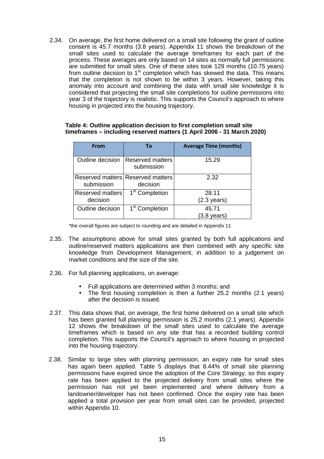2.34. On average, the first home delivered on a small site following the grant of outline consent is 45.7 months (3.8 years). Appendix 11 shows the breakdown of the small sites used to calculate the average timeframes for each part of the process. These averages are only based on 14 sites as normally full permissions are submitted for small sites. One of these sites took 129 months (10.75 years) from outline decision to 1<sup>st</sup> completion which has skewed the data. This means that the completion is not shown to be within 3 years. However, taking this anomaly into account and combining the data with small site knowledge it is considered that projecting the small site completions for outline permissions into year 3 of the trajectory is realistic. This supports the Council's approach to where housing in projected into the housing trajectory.

#### **Table 4: Outline application decision to first completion small site timeframes – including reserved matters (1 April 2006 - 31 March 2020)**

| <b>From</b>                  | To                                            | <b>Average Time (months)</b>   |
|------------------------------|-----------------------------------------------|--------------------------------|
| Outline decision             | <b>Reserved matters</b><br>submission         | 15.29                          |
| submission                   | Reserved matters Reserved matters<br>decision | 2.32                           |
| Reserved matters<br>decision | 1 <sup>st</sup> Completion                    | 28.11<br>$(2.3 \text{ years})$ |
| Outline decision             | 1 <sup>st</sup> Completion                    | 45.71<br>(3.8 years)           |

\*the overall figures are subject to rounding and are detailed in Appendix 11

- 2.35. The assumptions above for small sites granted by both full applications and outline/reserved matters applications are then combined with any specific site knowledge from Development Management, in addition to a judgement on market conditions and the size of the site.
- 2.36. For full planning applications, on average:
	- Full applications are determined within 3 months; and
	- after the decision is issued. The first housing completion is then a further 25.2 months (2.1 years)
- 2.37. This data shows that, on average, the first home delivered on a small site which has been granted full planning permission is 25.2 months (2.1 years). Appendix 12 shows the breakdown of the small sites used to calculate the average timeframes which is based on any site that has a recorded building control completion. This supports the Council's approach to where housing in projected into the housing trajectory.
- $2.38.$  has again been applied. Table 5 displays that 8.44% of small site planning permissions have expired since the adoption of the Core Strategy, so this expiry rate has been applied to the projected delivery from small sites where the permission has not yet been implemented and where delivery from a landowner/developer has not been confirmed. Once the expiry rate has been applied a total provision per year from small sites can be provided, projected within Appendix 10. Similar to large sites with planning permission, an expiry rate for small sites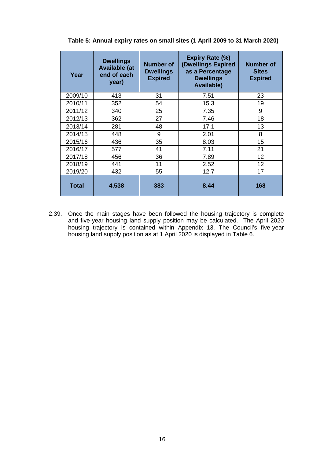| Year         | <b>Dwellings</b><br><b>Available (at</b><br>end of each<br>year) | <b>Number of</b><br><b>Dwellings</b><br><b>Expired</b> | <b>Expiry Rate (%)</b><br>(Dwellings Expired<br>as a Percentage<br><b>Dwellings</b><br><b>Available)</b> | <b>Number of</b><br><b>Sites</b><br><b>Expired</b> |
|--------------|------------------------------------------------------------------|--------------------------------------------------------|----------------------------------------------------------------------------------------------------------|----------------------------------------------------|
| 2009/10      | 413                                                              | 31                                                     | 7.51                                                                                                     | 23                                                 |
| 2010/11      | 352                                                              | 54                                                     | 15.3                                                                                                     | 19                                                 |
| 2011/12      | 340                                                              | 25                                                     | 7.35                                                                                                     | 9                                                  |
| 2012/13      | 362                                                              | 27                                                     | 7.46                                                                                                     | 18                                                 |
| 2013/14      | 281                                                              | 48                                                     | 17.1                                                                                                     | 13                                                 |
| 2014/15      | 448                                                              | 9                                                      | 2.01                                                                                                     | 8                                                  |
| 2015/16      | 436                                                              | 35                                                     | 8.03                                                                                                     | 15                                                 |
| 2016/17      | 577                                                              | 41                                                     | 7.11                                                                                                     | 21                                                 |
| 2017/18      | 456                                                              | 36                                                     | 7.89                                                                                                     | 12                                                 |
| 2018/19      | 441                                                              | 11                                                     | 2.52                                                                                                     | 12                                                 |
| 2019/20      | 432                                                              | 55                                                     | 12.7                                                                                                     | 17                                                 |
| <b>Total</b> | 4,538                                                            | 383                                                    | 8.44                                                                                                     | 168                                                |

 **Table 5: Annual expiry rates on small sites (1 April 2009 to 31 March 2020)** 

 2.39. Once the main stages have been followed the housing trajectory is complete and five-year housing land supply position may be calculated. The April 2020 housing trajectory is contained within Appendix 13. The Council's five-year housing land supply position as at 1 April 2020 is displayed in Table 6.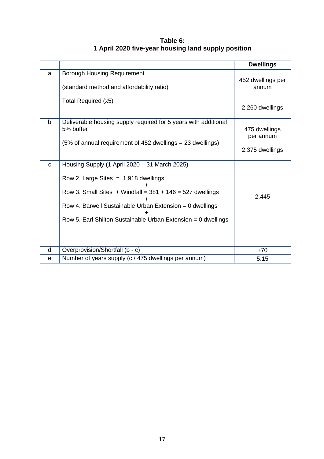|              |                                                                                                                                                                                                                                                                                       | <b>Dwellings</b>                              |
|--------------|---------------------------------------------------------------------------------------------------------------------------------------------------------------------------------------------------------------------------------------------------------------------------------------|-----------------------------------------------|
| a            | <b>Borough Housing Requirement</b><br>(standard method and affordability ratio)<br>Total Required (x5)                                                                                                                                                                                | 452 dwellings per<br>annum<br>2,260 dwellings |
| $\mathbf b$  | Deliverable housing supply required for 5 years with additional<br>5% buffer<br>(5% of annual requirement of 452 dwellings = 23 dwellings)                                                                                                                                            | 475 dwellings<br>per annum<br>2,375 dwellings |
| $\mathbf{C}$ | Housing Supply (1 April 2020 - 31 March 2025)<br>Row 2. Large Sites $= 1,918$ dwellings<br>Row 3. Small Sites $+$ Windfall = 381 $+$ 146 = 527 dwellings<br>Row 4. Barwell Sustainable Urban Extension = 0 dwellings<br>Row 5. Earl Shilton Sustainable Urban Extension = 0 dwellings | 2,445                                         |
| d            | Overprovision/Shortfall (b - c)                                                                                                                                                                                                                                                       | $+70$                                         |
| $\mathbf e$  | Number of years supply (c / 475 dwellings per annum)                                                                                                                                                                                                                                  | 5.15                                          |

 **1 April 2020 five-year housing land supply position Table 6:**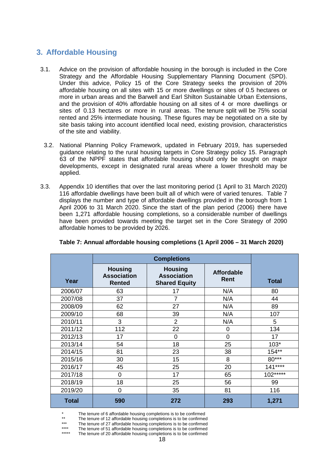# **3. Affordable Housing**

- $3.1.$  Strategy and the Affordable Housing Supplementary Planning Document (SPD). Under this advice, Policy 15 of the Core Strategy seeks the provision of 20% affordable housing on all sites with 15 or more dwellings or sites of 0.5 hectares or more in urban areas and the Barwell and Earl Shilton Sustainable Urban Extensions, and the provision of 40% affordable housing on all sites of 4 or more dwellings or sites of 0.13 hectares or more in rural areas. The tenure split will be 75% social rented and 25% intermediate housing. These figures may be negotiated on a site by site basis taking into account identified local need, existing provision, characteristics of the site and viability. 3.1. Advice on the provision of affordable housing in the borough is included in the Core
	- 3.2. National Planning Policy Framework, updated in February 2019, has superseded guidance relating to the rural housing targets in Core Strategy policy 15. Paragraph 63 of the NPPF states that affordable housing should only be sought on major developments, except in designated rural areas where a lower threshold may be applied.
- applied.<br>3.3. Appendix 10 identifies that over the last monitoring period (1 April to 31 March 2020) 116 affordable dwellings have been built all of which were of varied tenures. Table 7 displays the number and type of affordable dwellings provided in the borough from 1 April 2006 to 31 March 2020. Since the start of the plan period (2006) there have been 1,271 affordable housing completions, so a considerable number of dwellings have been provided towards meeting the target set in the Core Strategy of 2090 affordable homes to be provided by 2026.

| Year         | <b>Housing</b><br><b>Association</b><br><b>Rented</b> | <b>Housing</b><br><b>Association</b><br><b>Shared Equity</b> | <b>Affordable</b><br><b>Rent</b> | <b>Total</b> |
|--------------|-------------------------------------------------------|--------------------------------------------------------------|----------------------------------|--------------|
| 2006/07      | 63                                                    | 17                                                           | N/A                              | 80           |
| 2007/08      | 37                                                    | $\overline{7}$                                               | N/A                              | 44           |
| 2008/09      | 62                                                    | 27                                                           | N/A                              | 89           |
| 2009/10      | 68                                                    | 39                                                           | N/A                              | 107          |
| 2010/11      | 3                                                     | 2                                                            | N/A                              | 5            |
| 2011/12      | 112                                                   | 22                                                           | 0                                | 134          |
| 2012/13      | 17                                                    | $\overline{0}$                                               | $\overline{0}$                   | 17           |
| 2013/14      | 54                                                    | 18                                                           | 25                               | $103*$       |
| 2014/15      | 81                                                    | 23                                                           | 38                               | $154**$      |
| 2015/16      | 30                                                    | 15                                                           | 8                                | $80***$      |
| 2016/17      | 45                                                    | 25                                                           | 20                               | $141***$     |
| 2017/18      | $\overline{0}$                                        | 17                                                           | 65                               | $102***$     |
| 2018/19      | 18                                                    | 25                                                           | 56                               | 99           |
| 2019/20      | 0                                                     | 35                                                           | 81                               | 116          |
| <b>Total</b> | 590                                                   | 272                                                          | 293                              | 1,271        |

## **Table 7: Annual affordable housing completions (1 April 2006 – 31 March 2020)**

\* The tenure of 6 affordable housing completions is to be confirmed

The tenure of 12 affordable housing completions is to be confirmed

\*\*\*<br>\*\*\*\* The tenure of 27 affordable housing completions is to be confirmed

The tenure of 51 affordable housing completions is to be confirmed

The tenure of 20 affordable housing completions is to be confirmed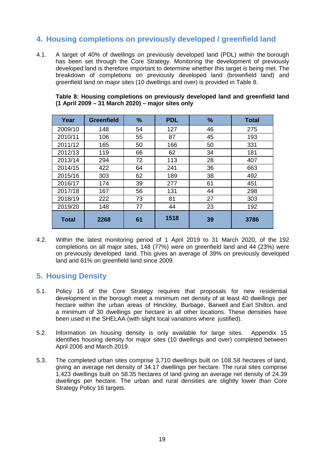# **4. Housing completions on previously developed / greenfield land**

 $4.1.$  has been set through the Core Strategy. Monitoring the development of previously developed land is therefore important to determine whether this target is being met. The breakdown of completions on previously developed land (brownfield land) and greenfield land on major sites (10 dwellings and over) is provided in Table 8. A target of 40% of dwellings on previously developed land (PDL) within the borough

| Year         | <b>Greenfield</b> | %  | <b>PDL</b> | %  | <b>Total</b> |
|--------------|-------------------|----|------------|----|--------------|
| 2009/10      | 148               | 54 | 127        | 46 | 275          |
| 2010/11      | 106               | 55 | 87         | 45 | 193          |
| 2011/12      | 165               | 50 | 166        | 50 | 331          |
| 2012/13      | 119               | 66 | 62         | 34 | 181          |
| 2013/14      | 294               | 72 | 113        | 28 | 407          |
| 2014/15      | 422               | 64 | 241        | 36 | 663          |
| 2015/16      | 303               | 62 | 189        | 38 | 492          |
| 2016/17      | 174               | 39 | 277        | 61 | 451          |
| 2017/18      | 167               | 56 | 131        | 44 | 298          |
| 2018/19      | 222               | 73 | 81         | 27 | 303          |
| 2019/20      | 148               | 77 | 44         | 23 | 192          |
| <b>Total</b> | 2268              | 61 | 1518       | 39 | 3786         |

 **Table 8: Housing completions on previously developed land and greenfield land (1 April 2009 – 31 March 2020) – major sites only** 

 $4.2.$  completions on all major sites, 148 (77%) were on greenfield land and 44 (23%) were on previously developed land. This gives an average of 39% on previously developed land and 61% on greenfield land since 2009. 4.2. Within the latest monitoring period of 1 April 2019 to 31 March 2020, of the 192

## **5. Housing Density**

- $5.1.$  development in the borough meet a minimum net density of at least 40 dwellings per hectare within the urban areas of Hinckley, Burbage, Barwell and Earl Shilton, and a minimum of 30 dwellings per hectare in all other locations. These densities have been used in the SHELAA (with slight local variations where justified). Policy 16 of the Core Strategy requires that proposals for new residential
- 5.2. Information on housing density is only available for large sites. Appendix 15 identifies housing density for major sites (10 dwellings and over) completed between April 2006 and March 2019.
- $5.3.$  giving an average net density of 34.17 dwellings per hectare. The rural sites comprise 1,423 dwellings built on 58.35 hectares of land giving an average net density of 24.39 dwellings per hectare. The urban and rural densities are slightly lower than Core Strategy Policy 16 targets. 5.3. The completed urban sites comprise 3,710 dwellings built on 108.58 hectares of land,